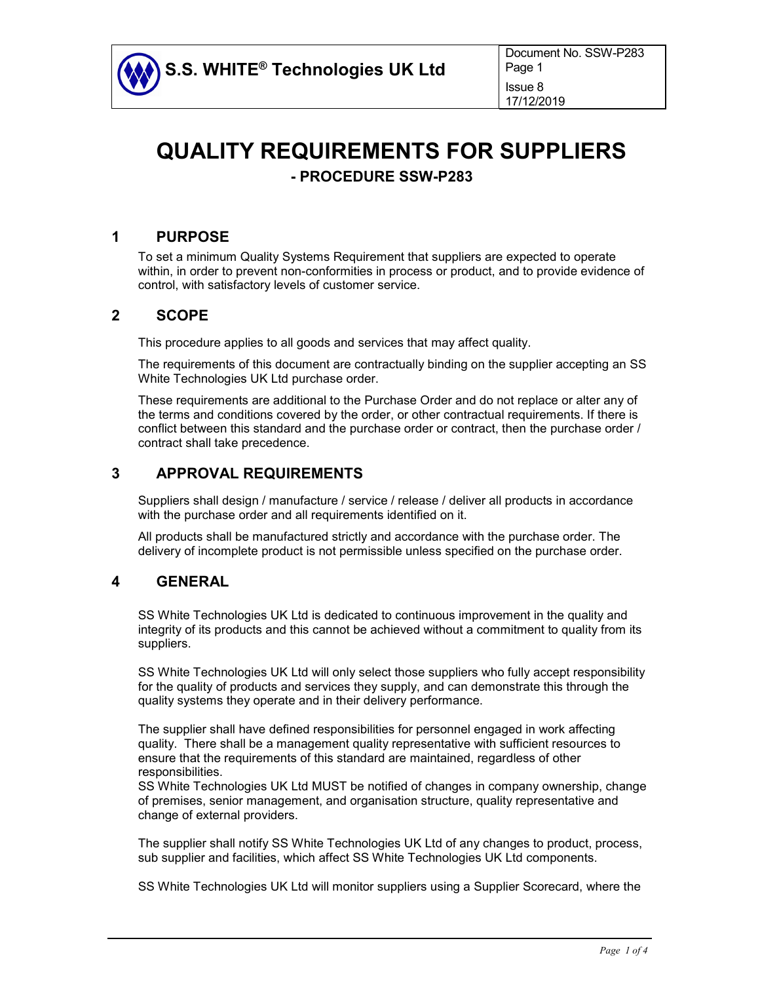

# **QUALITY REQUIREMENTS FOR SUPPLIERS - PROCEDURE SSW-P283**

## **1 PURPOSE**

To set a minimum Quality Systems Requirement that suppliers are expected to operate within, in order to prevent non-conformities in process or product, and to provide evidence of control, with satisfactory levels of customer service.

#### **2 SCOPE**

This procedure applies to all goods and services that may affect quality.

The requirements of this document are contractually binding on the supplier accepting an SS White Technologies UK Ltd purchase order.

These requirements are additional to the Purchase Order and do not replace or alter any of the terms and conditions covered by the order, or other contractual requirements. If there is conflict between this standard and the purchase order or contract, then the purchase order / contract shall take precedence.

## **3 APPROVAL REQUIREMENTS**

Suppliers shall design / manufacture / service / release / deliver all products in accordance with the purchase order and all requirements identified on it.

All products shall be manufactured strictly and accordance with the purchase order. The delivery of incomplete product is not permissible unless specified on the purchase order.

## **4 GENERAL**

SS White Technologies UK Ltd is dedicated to continuous improvement in the quality and integrity of its products and this cannot be achieved without a commitment to quality from its suppliers.

SS White Technologies UK Ltd will only select those suppliers who fully accept responsibility for the quality of products and services they supply, and can demonstrate this through the quality systems they operate and in their delivery performance.

The supplier shall have defined responsibilities for personnel engaged in work affecting quality. There shall be a management quality representative with sufficient resources to ensure that the requirements of this standard are maintained, regardless of other responsibilities.

SS White Technologies UK Ltd MUST be notified of changes in company ownership, change of premises, senior management, and organisation structure, quality representative and change of external providers.

The supplier shall notify SS White Technologies UK Ltd of any changes to product, process, sub supplier and facilities, which affect SS White Technologies UK Ltd components.

SS White Technologies UK Ltd will monitor suppliers using a Supplier Scorecard, where the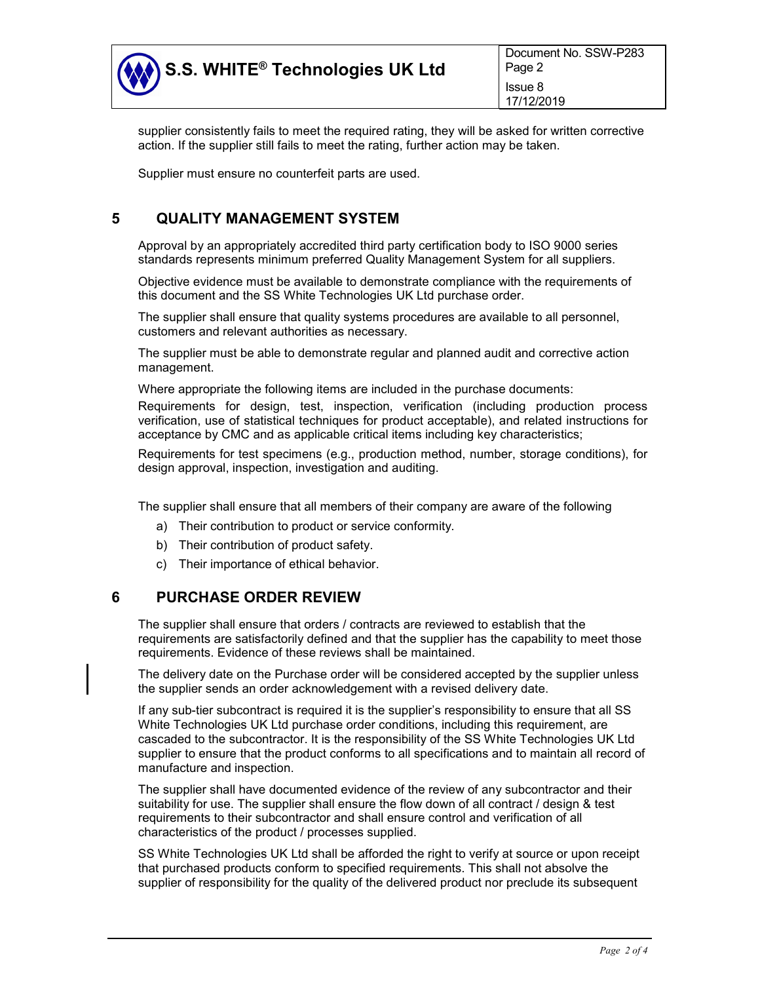

supplier consistently fails to meet the required rating, they will be asked for written corrective action. If the supplier still fails to meet the rating, further action may be taken.

Supplier must ensure no counterfeit parts are used.

## **5 QUALITY MANAGEMENT SYSTEM**

Approval by an appropriately accredited third party certification body to ISO 9000 series standards represents minimum preferred Quality Management System for all suppliers.

Objective evidence must be available to demonstrate compliance with the requirements of this document and the SS White Technologies UK Ltd purchase order.

The supplier shall ensure that quality systems procedures are available to all personnel, customers and relevant authorities as necessary.

The supplier must be able to demonstrate regular and planned audit and corrective action management.

Where appropriate the following items are included in the purchase documents:

Requirements for design, test, inspection, verification (including production process verification, use of statistical techniques for product acceptable), and related instructions for acceptance by CMC and as applicable critical items including key characteristics;

Requirements for test specimens (e.g., production method, number, storage conditions), for design approval, inspection, investigation and auditing.

The supplier shall ensure that all members of their company are aware of the following

- a) Their contribution to product or service conformity.
- b) Their contribution of product safety.
- c) Their importance of ethical behavior.

#### **6 PURCHASE ORDER REVIEW**

The supplier shall ensure that orders / contracts are reviewed to establish that the requirements are satisfactorily defined and that the supplier has the capability to meet those requirements. Evidence of these reviews shall be maintained.

The delivery date on the Purchase order will be considered accepted by the supplier unless the supplier sends an order acknowledgement with a revised delivery date.

If any sub-tier subcontract is required it is the supplier's responsibility to ensure that all SS White Technologies UK Ltd purchase order conditions, including this requirement, are cascaded to the subcontractor. It is the responsibility of the SS White Technologies UK Ltd supplier to ensure that the product conforms to all specifications and to maintain all record of manufacture and inspection.

The supplier shall have documented evidence of the review of any subcontractor and their suitability for use. The supplier shall ensure the flow down of all contract / design & test requirements to their subcontractor and shall ensure control and verification of all characteristics of the product / processes supplied.

SS White Technologies UK Ltd shall be afforded the right to verify at source or upon receipt that purchased products conform to specified requirements. This shall not absolve the supplier of responsibility for the quality of the delivered product nor preclude its subsequent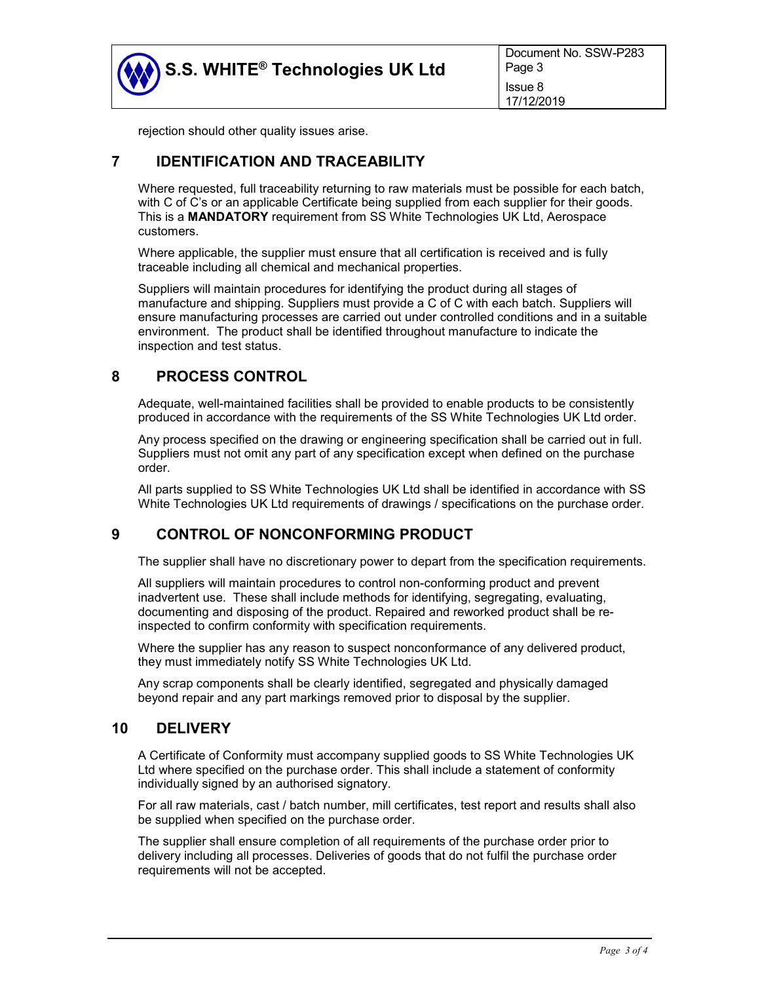

rejection should other quality issues arise.

## **7 IDENTIFICATION AND TRACEABILITY**

Where requested, full traceability returning to raw materials must be possible for each batch, with C of C's or an applicable Certificate being supplied from each supplier for their goods. This is a **MANDATORY** requirement from SS White Technologies UK Ltd, Aerospace customers.

Where applicable, the supplier must ensure that all certification is received and is fully traceable including all chemical and mechanical properties.

Suppliers will maintain procedures for identifying the product during all stages of manufacture and shipping. Suppliers must provide a C of C with each batch. Suppliers will ensure manufacturing processes are carried out under controlled conditions and in a suitable environment. The product shall be identified throughout manufacture to indicate the inspection and test status.

## **8 PROCESS CONTROL**

Adequate, well-maintained facilities shall be provided to enable products to be consistently produced in accordance with the requirements of the SS White Technologies UK Ltd order.

Any process specified on the drawing or engineering specification shall be carried out in full. Suppliers must not omit any part of any specification except when defined on the purchase order.

All parts supplied to SS White Technologies UK Ltd shall be identified in accordance with SS White Technologies UK Ltd requirements of drawings / specifications on the purchase order.

## **9 CONTROL OF NONCONFORMING PRODUCT**

The supplier shall have no discretionary power to depart from the specification requirements.

All suppliers will maintain procedures to control non-conforming product and prevent inadvertent use. These shall include methods for identifying, segregating, evaluating, documenting and disposing of the product. Repaired and reworked product shall be reinspected to confirm conformity with specification requirements.

Where the supplier has any reason to suspect nonconformance of any delivered product, they must immediately notify SS White Technologies UK Ltd.

Any scrap components shall be clearly identified, segregated and physically damaged beyond repair and any part markings removed prior to disposal by the supplier.

#### **10 DELIVERY**

A Certificate of Conformity must accompany supplied goods to SS White Technologies UK Ltd where specified on the purchase order. This shall include a statement of conformity individually signed by an authorised signatory.

For all raw materials, cast / batch number, mill certificates, test report and results shall also be supplied when specified on the purchase order.

The supplier shall ensure completion of all requirements of the purchase order prior to delivery including all processes. Deliveries of goods that do not fulfil the purchase order requirements will not be accepted.